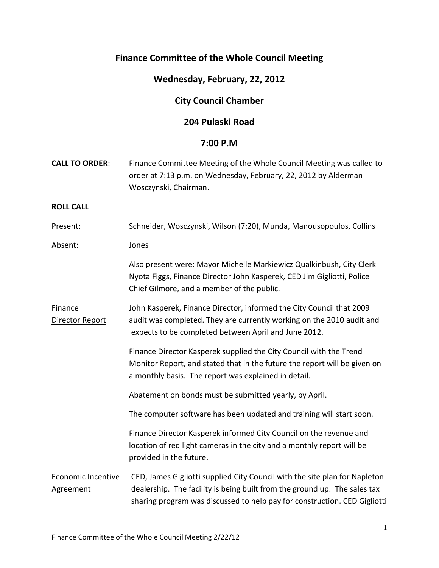# **Finance Committee of the Whole Council Meeting**

### **Wednesday, February, 22, 2012**

# **City Council Chamber**

## **204 Pulaski Road**

#### **7:00 P.M**

| <b>CALL TO ORDER:</b>             | Finance Committee Meeting of the Whole Council Meeting was called to<br>order at 7:13 p.m. on Wednesday, February, 22, 2012 by Alderman<br>Wosczynski, Chairman.                                                                     |
|-----------------------------------|--------------------------------------------------------------------------------------------------------------------------------------------------------------------------------------------------------------------------------------|
| <b>ROLL CALL</b>                  |                                                                                                                                                                                                                                      |
| Present:                          | Schneider, Wosczynski, Wilson (7:20), Munda, Manousopoulos, Collins                                                                                                                                                                  |
| Absent:                           | Jones                                                                                                                                                                                                                                |
|                                   | Also present were: Mayor Michelle Markiewicz Qualkinbush, City Clerk<br>Nyota Figgs, Finance Director John Kasperek, CED Jim Gigliotti, Police<br>Chief Gilmore, and a member of the public.                                         |
| <b>Finance</b><br>Director Report | John Kasperek, Finance Director, informed the City Council that 2009<br>audit was completed. They are currently working on the 2010 audit and<br>expects to be completed between April and June 2012.                                |
|                                   | Finance Director Kasperek supplied the City Council with the Trend<br>Monitor Report, and stated that in the future the report will be given on<br>a monthly basis. The report was explained in detail.                              |
|                                   | Abatement on bonds must be submitted yearly, by April.                                                                                                                                                                               |
|                                   | The computer software has been updated and training will start soon.                                                                                                                                                                 |
|                                   | Finance Director Kasperek informed City Council on the revenue and<br>location of red light cameras in the city and a monthly report will be<br>provided in the future.                                                              |
| Economic Incentive<br>Agreement   | CED, James Gigliotti supplied City Council with the site plan for Napleton<br>dealership. The facility is being built from the ground up. The sales tax<br>sharing program was discussed to help pay for construction. CED Gigliotti |